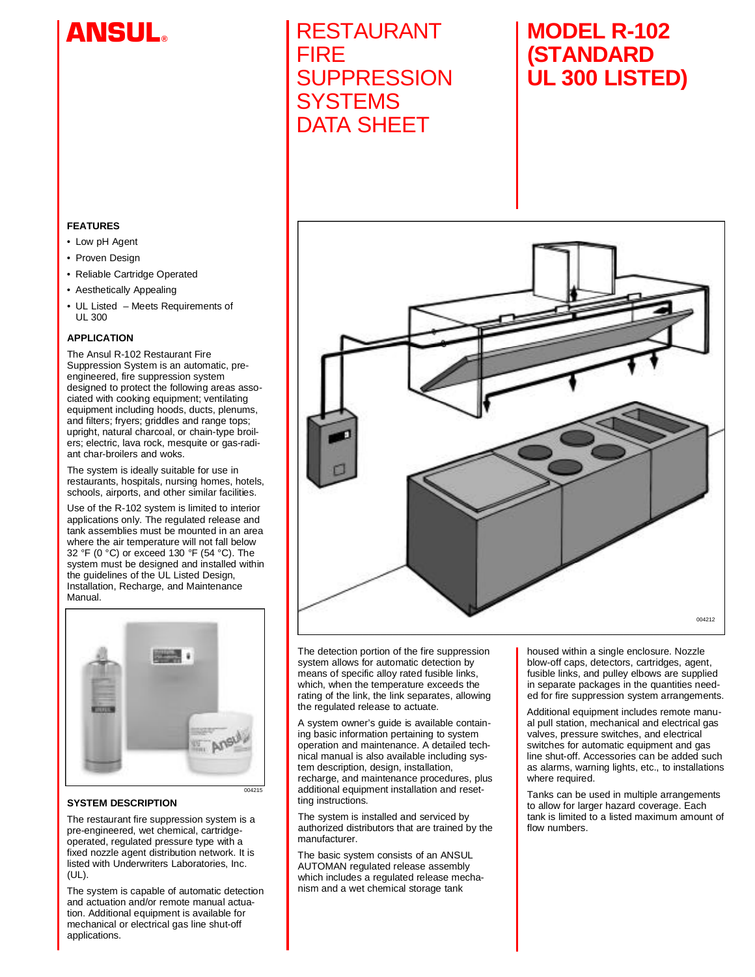# **A N S UL®**

# **RESTAURANT** FIRE **SUPPRESSION SYSTEMS** DATA SHEET

# **MODEL R-102 ( S TA N D A R D UL 300 LISTED)**



- Low pH Agent
- Proven Design
- Reliable Cartridge Operated
- Aesthetically Appealing
- UL Listed Meets Requirements of UL 300

# **APPLICATION**

The Ansul R-102 Restaurant Fire Suppression System is an automatic, preengineered, fire suppression system designed to protect the following areas associated with cooking equipment; ventilating equipment including hoods, ducts, plenums, and filters; fryers; griddles and range tops; upright, natural charcoal, or chain-type broilers; electric, lava rock, mesquite or gas-radiant char-broilers and woks.

The system is ideally suitable for use in restaurants, hospitals, nursing homes, hotels, schools, airports, and other similar facilities.

Use of the R-102 system is limited to interior applications only. The regulated release and tank assemblies must be mounted in an area where the air temperature will not fall below 32 °F (0 °C) or exceed 130 °F (54 °C). The system must be designed and installed within the guidelines of the UL Listed Design, Installation, Recharge, and Maintenance Manual



# **SYSTEM DESCRIPTION**

The restaurant fire suppression system is a pre-engineered, wet chemical, cartridgeoperated, regulated pressure type with a fixed nozzle agent distribution network. It is listed with Underwriters Laboratories, Inc.  $(UL)$ .

The system is capable of automatic detection and actuation and/or remote manual actuation. Additional equipment is available for mechanical or electrical gas line shut-off a polications.



The detection portion of the fire suppression system allows for automatic detection by means of specific alloy rated fusible links, which, when the temperature exceeds the rating of the link, the link separates, allowing the regulated release to actuate.

A system owner's guide is available containing basic information pertaining to system operation and maintenance. A detailed technical manual is also available including system description, design, installation, recharge, and maintenance procedures, plus additional equipment installation and resetting instructions.

The system is installed and serviced by authorized distributors that are trained by the manufacturer.

The basic system consists of an ANSUL AUTOMAN regulated release assembly which includes a regulated release mechanism and a wet chemical storage tank

housed within a single enclosure. Nozzle blow-off caps, detectors, cartridges, agent, fusible links, and pulley elbows are supplied in separate packages in the quantities needed for fire suppression system arrangements.

Additional equipment includes remote manual pull station, mechanical and electrical gas valves, pressure switches, and electrical switches for automatic equipment and gas line shut-off. Accessories can be added such as alarms, warning lights, etc., to installations where required.

Tanks can be used in multiple arrangements to allow for larger hazard coverage. Each tank is limited to a listed maximum amount of flow numbers.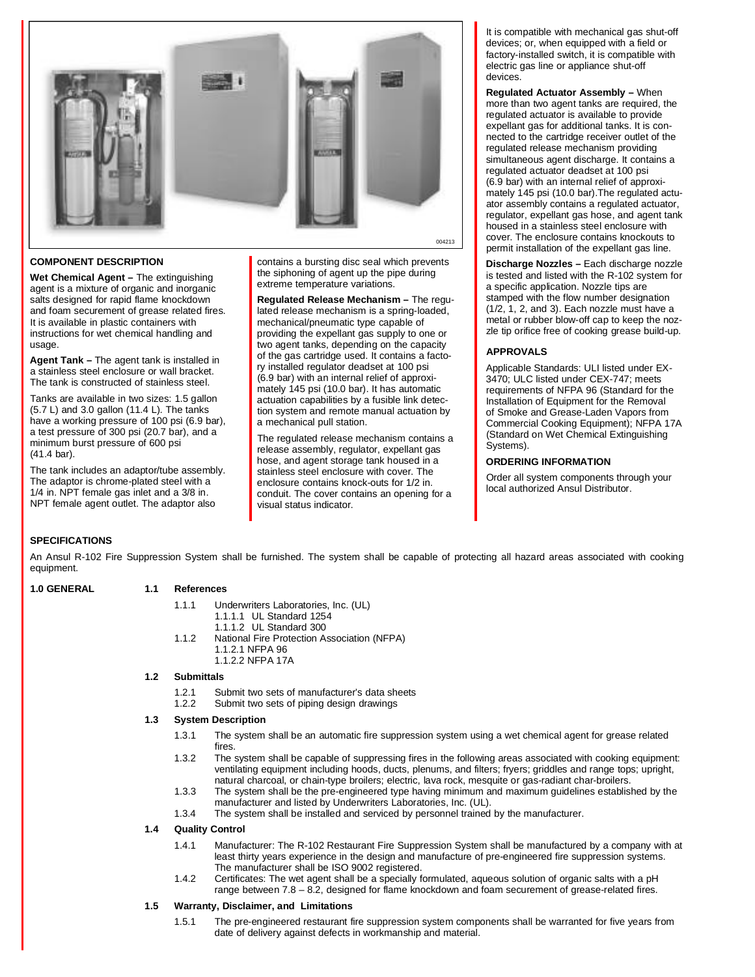

# **COMPONENT DESCRIPTION**

**Wet Chemical Agent –** The extinguishing agent is a mixture of organic and inorganic salts designed for rapid flame knockdown and foam securement of grease related fires. It is available in plastic containers with instructions for wet chemical handling and usage.

**Agent Tank –** The agent tank is installed in a stainless steel enclosure or wall bracket. The tank is constructed of stainless steel.

Tanks are available in two sizes: 1.5 gallon (5.7 L) and 3.0 gallon (11.4 L). The tanks have a working pressure of 100 psi (6.9 bar), a test pressure of 300 psi (20.7 bar), and a minimum burst pressure of 600 psi (41.4 bar).

The tank includes an adaptor/tube assembly. The adaptor is chrome-plated steel with a 1/4 in. NPT female gas inlet and a 3/8 in. NPT female agent outlet. The adaptor also

contains a bursting disc seal which prevents the siphoning of agent up the pipe during extreme temperature variations.

**Regulated Release Mechanism –** The regulated release mechanism is a spring-loaded, mechanical/pneumatic type capable of providing the expellant gas supply to one or two agent tanks, depending on the capacity of the gas cartridge used. It contains a factory installed regulator deadset at 100 psi (6.9 bar) with an internal relief of approximately 145 psi (10.0 bar). It has automatic actuation capabilities by a fusible link detection system and remote manual actuation by a mechanical pull station.

The regulated release mechanism contains a release assembly, regulator, expellant gas hose, and agent storage tank housed in a stainless steel enclosure with cover. The enclosure contains knock-outs for 1/2 in. conduit. The cover contains an opening for a visual status indicator.

It is compatible with mechanical gas shut-off devices; or, when equipped with a field or factory-installed switch, it is compatible with electric gas line or appliance shut-off devices.

**Regulated Actuator Assembly – When** more than two agent tanks are required, the regulated actuator is available to provide expellant gas for additional tanks. It is connected to the cartridge receiver outlet of the regulated release mechanism providing simultaneous agent discharge. It contains a regulated actuator deadset at 100 psi (6.9 bar) with an internal relief of approximately 145 psi (10.0 bar).The regulated actuator assembly contains a regulated actuator, regulator, expellant gas hose, and agent tank housed in a stainless steel enclosure with cover. The enclosure contains knockouts to permit installation of the expellant gas line.

**Discharge Nozzles –** Each discharge nozzle is tested and listed with the R-102 system for a specific application. Nozzle tips are stamped with the flow number designation (1/2, 1, 2, and 3). Each nozzle must have a metal or rubber blow-off cap to keep the nozzle tip orifice free of cooking grease build-up.

# **A P P R O V A L S**

Applicable Standards: ULI listed under EX-3470; ULC listed under CEX-747; meets requirements of NFPA 96 (Standard for the Installation of Equipment for the Removal of Smoke and Grease-Laden Vapors from Commercial Cooking Equipment); NFPA 17A (Standard on Wet Chemical Extinguishing Systems).

#### **ORDERING INFORMATION**

Order all system components through your local authorized Ansul Distributor.

# **SPECIFICATIONS**

An Ansul R-102 Fire Suppression System shall be furnished. The system shall be capable of protecting all hazard areas associated with cooking equipment.

#### 1.0 GENERAL 1.1 References

- 1.1.1 Underwriters Laboratories, Inc. (UL)
	- 1.1.1.1 UL Standard 1254
	- 1.1.1.2 UL Standard 300
- 1.1.2 National Fire Protection Association (NFPA) 1.1.2.1 NFPA 96
	- 1.1.2.2 NFPA 17A

# **1.2 Submittals**

- 1.2.1 Submit two sets of manufacturer's data sheets<br>1.2.2 Submit two sets of piping design drawings
- Submit two sets of piping design drawings

#### **1.3 System Description**

- 1.3.1 The system shall be an automatic fire suppression system using a wet chemical agent for grease related fires.
- 1.3.2 The system shall be capable of suppressing fires in the following areas associated with cooking equipment: ventilating equipment including hoods, ducts, plenums, and filters; fryers; griddles and range tops; upright, natural charcoal, or chain-type broilers; electric, lava rock, mesquite or gas-radiant char-broilers.
- 1.3.3 The system shall be the pre-engineered type having minimum and maximum guidelines established by the manufacturer and listed by Underwriters Laboratories, Inc. (UL).
- 1.3.4 The system shall be installed and serviced by personnel trained by the manufacturer.

#### **1.4 Quality Control**

- 1.4.1 Manufacturer: The R-102 Restaurant Fire Suppression System shall be manufactured by a company with at least thirty years experience in the design and manufacture of pre-engineered fire suppression systems. The manufacturer shall be ISO 9002 registered.
- 1.4.2 Certificates: The wet agent shall be a specially formulated, aqueous solution of organic salts with a pH range between 7.8 – 8.2, designed for flame knockdown and foam securement of grease-related fires.

# **1.5 Warranty, Disclaimer, and Limitations**

1.5.1 The pre-engineered restaurant fire suppression system components shall be warranted for five years from date of delivery against defects in workmanship and material.